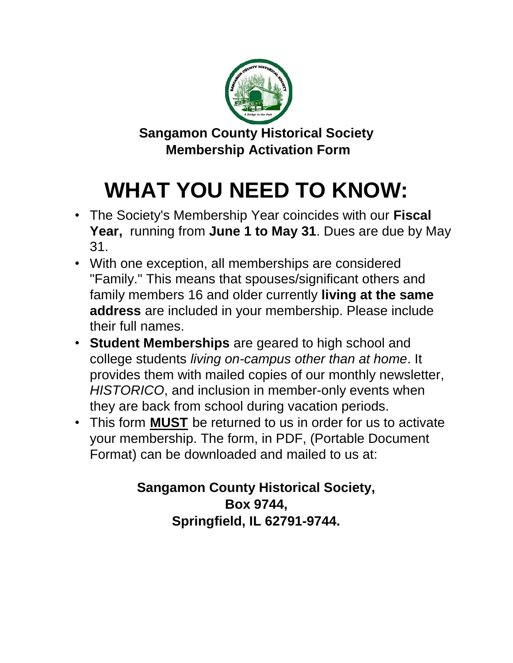

**Sangamon County Historical Society Membership Activation Form** 

# **WHAT YOU NEED TO KNOW:**

- The Society's Membership Year coincides with our **Fiscal Year,** running from **June 1 to May 31**. Dues are due by May 31.
- With one exception, all memberships are considered "Family." This means that spouses/significant others and family members 16 and older currently **living at the same address** are included in your membership. Please include their full names.
- **Student Memberships** are geared to high school and college students *living on-campus other than at home*. It provides them with mailed copies of our monthly newsletter, *HISTORICO*, and inclusion in member-only events when they are back from school during vacation periods.
- This form **MUST** be returned to us in order for us to activate your membership. The form, in PDF, (Portable Document Format) can be downloaded and mailed to us at:

# **Sangamon County Historical Society, Box 9744, Springfield, IL 62791-9744.**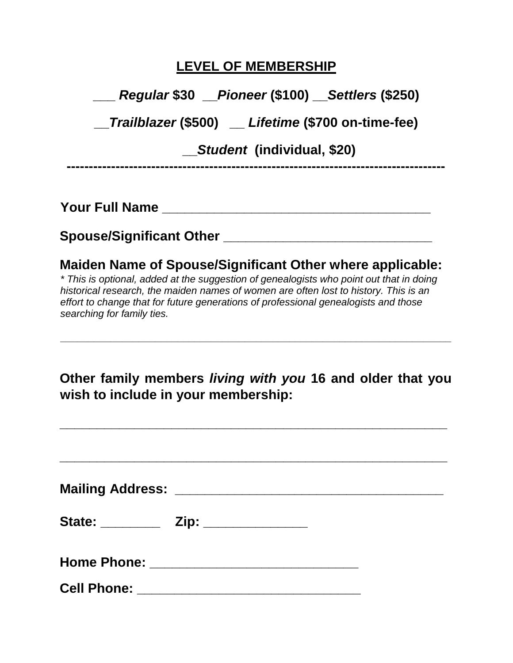## **LEVEL OF MEMBERSHIP**

**\_\_\_** *Regular* **\$30 \_\_***Pioneer* **(\$100) \_\_***Settlers* **(\$250)**

**\_\_***Trailblazer* **(\$500) \_\_** *Lifetime* **(\$700 on-time-fee)**

 **\_\_***Student* **(individual, \$20)**

**-------------------------------------------------------------------------------------**

**Your Full Name \_\_\_\_\_\_\_\_\_\_\_\_\_\_\_\_\_\_\_\_\_\_\_\_\_\_\_\_\_\_\_\_\_\_\_\_** 

#### **Spouse/Significant Other \_\_\_\_\_\_\_\_\_\_\_\_\_\_\_\_\_\_\_\_\_\_\_\_\_\_\_\_**

#### **Maiden Name of Spouse/Significant Other where applicable:**

*\* This is optional, added at the suggestion of genealogists who point out that in doing historical research, the maiden names of women are often lost to history. This is an effort to change that for future generations of professional genealogists and those searching for family ties.* 

**Other family members** *living with you* **16 and older that you wish to include in your membership:** 

**\_\_\_\_\_\_\_\_\_\_\_\_\_\_\_\_\_\_\_\_\_\_\_\_\_\_\_\_\_\_\_\_\_\_\_\_\_\_\_\_\_\_\_\_\_\_\_\_\_\_\_\_** 

**\_\_\_\_\_\_\_\_\_\_\_\_\_\_\_\_\_\_\_\_\_\_\_\_\_\_\_\_\_\_\_\_\_\_\_\_\_\_\_\_\_\_\_\_\_\_\_\_\_\_\_\_\_\_\_\_\_\_\_\_\_\_\_\_\_\_\_\_\_\_** 

| Cell Phone: ________________________________ |  |  |
|----------------------------------------------|--|--|